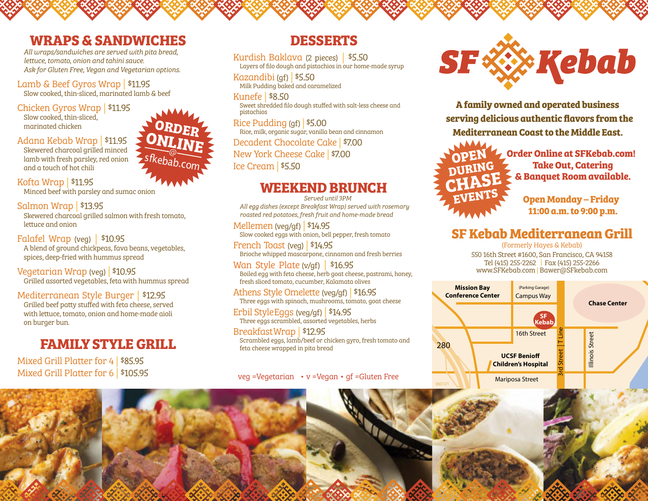#### **WRAPS & SANDWICHES**

*All wraps/sandwiches are served with pita bread, lettuce, tomato, onion and tahini sauce. Ask for Gluten Free, Vegan and Vegetarian options.*

Lamb & Beef Gyros Wrap | \$11.95

Slow cooked, thin-sliced, marinated lamb & beef

Chicken Gyros Wrap | \$11.95 Slow cooked, thin-sliced, marinated chicken

Adana Kebab Wrap | \$11.95

Skewered charcoal grilled minced lamb with fresh parsley, red onion and a touch of hot chili

Kofta Wrap | \$11.95 Minced beef with parsley and sumac onion

Salmon Wrap | \$13.95 Skewered charcoal grilled salmon with fresh tomato, lettuce and onion

Falafel Wrap (veg) | \$10.95 A blend of ground chickpeas, fava beans, vegetables, spices, deep-fried with hummus spread

Vegetarian Wrap (veg) | \$10.95 Grilled assorted vegetables, feta with hummus spread

Mediterranean Style Burger | \$12.95 Grilled beef patty stuffed with feta cheese, served with lettuce, tomato, onion and home-made aioli on burger bun.

# **FAMILY STYLE GRILL**

Mixed Grill Platter for 4 | \$85.95 Mixed Grill Platter for 6 | \$105.95

### **DESSERTS**

Kurdish Baklava (2 pieces) | \$5.50 Layers of filo dough and pistachios in our home-made syrup

Kazandibi (gf) | \$5.50 Milk Pudding baked and caramelized

Kunefe | \$8.50 Sweet shredded filo dough stuffed with salt-less cheese and pistachios

Rice Pudding (gf) | \$5.00 Rice, milk, organic sugar, vanilla bean and cinnamon Decadent Chocolate Cake | \$7.00

New York Cheese Cake | \$7.00 Ice Cream | \$5.50

### **WEEKEND BRUNCH**

*Served until 3PM*

*All egg dishes (except Breakfast Wrap) served with rosemary roasted red potatoes, fresh fruit and home-made bread*

Mellemen (veg/gf) | \$14.95 Slow cooked eggs with onion, bell pepper, fresh tomato

French Toast (veg) | \$14.95 Brioche whipped mascarpone, cinnamon and fresh berries

Wan Style Plate (v/gf) | \$16.95 Boiled egg with feta cheese, herb goat cheese, pastrami, honey, fresh sliced tomato, cucumber, Kalamata olives

Athens Style Omelette (veg/gf) | \$16.95 Three eggs with spinach, mushrooms, tomato, goat cheese

Erbil StyleEggs (veg/gf) | \$14.95 Three eggs scrambled, assorted vegetables, herbs

BreakfastWrap | \$12.95 Scrambled eggs, lamb/beef or chicken gyro, fresh tomato and feta cheese wrapped in pita bread

veg =Vegetarian • v =Vegan • gf =Gluten Free



**A family owned and operated business serving delicious authentic flavors from the Mediterranean Coast to the Middle East.**



**Order Online at SFKebab.com! Take Out, Catering & Banquet Room available.**

> **Open Monday – Friday 11:00 a.m. to 9:00 p.m.**

## **SF Kebab Mediterranean Grill**

(Formerly Hayes & Kebab) 550 16th Street #1600, San Francisco, CA 94158 Tel (415) 255-2262 | Fax (415) 255-2266 www.SFKebab.com | Bawer@SFkebab.com